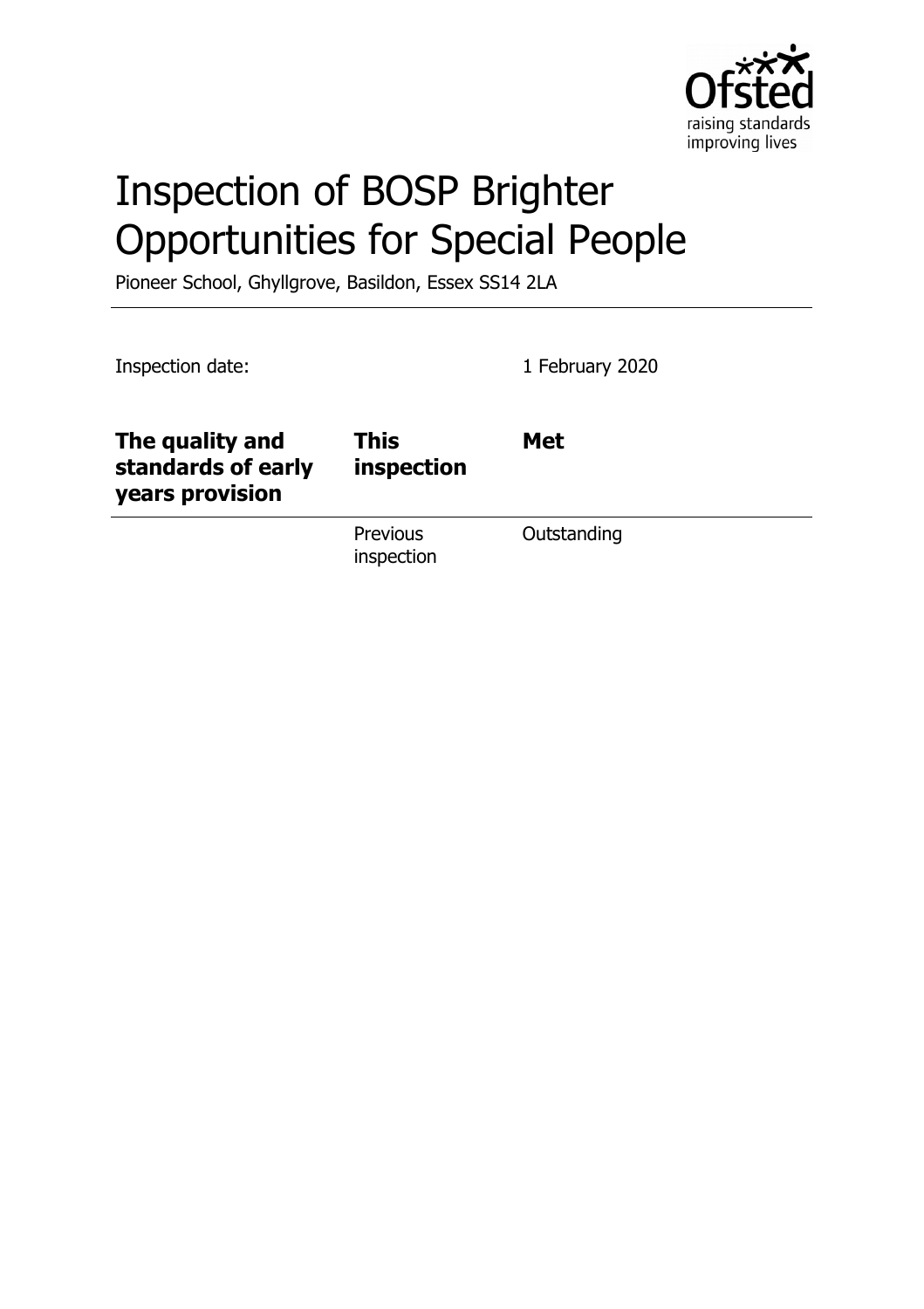

# Inspection of BOSP Brighter Opportunities for Special People

Pioneer School, Ghyllgrove, Basildon, Essex SS14 2LA

| Inspection date:                                         |                           | 1 February 2020 |
|----------------------------------------------------------|---------------------------|-----------------|
| The quality and<br>standards of early<br>years provision | <b>This</b><br>inspection | <b>Met</b>      |
|                                                          | Previous<br>inspection    | Outstanding     |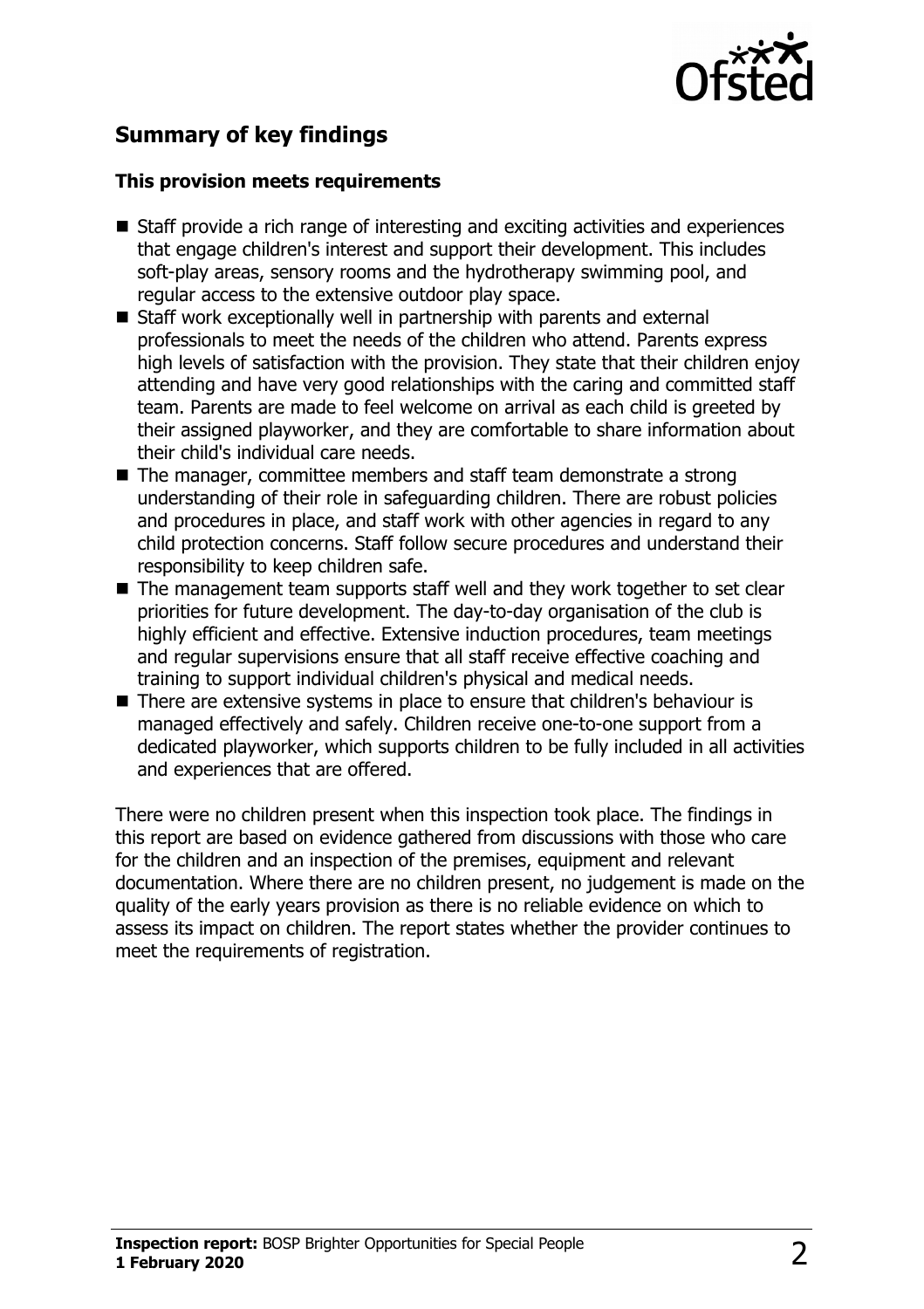

# **Summary of key findings**

#### **This provision meets requirements**

- $\blacksquare$  Staff provide a rich range of interesting and exciting activities and experiences that engage children's interest and support their development. This includes soft-play areas, sensory rooms and the hydrotherapy swimming pool, and regular access to the extensive outdoor play space.
- $\blacksquare$  Staff work exceptionally well in partnership with parents and external professionals to meet the needs of the children who attend. Parents express high levels of satisfaction with the provision. They state that their children enjoy attending and have very good relationships with the caring and committed staff team. Parents are made to feel welcome on arrival as each child is greeted by their assigned playworker, and they are comfortable to share information about their child's individual care needs.
- $\blacksquare$  The manager, committee members and staff team demonstrate a strong understanding of their role in safeguarding children. There are robust policies and procedures in place, and staff work with other agencies in regard to any child protection concerns. Staff follow secure procedures and understand their responsibility to keep children safe.
- $\blacksquare$  The management team supports staff well and they work together to set clear priorities for future development. The day-to-day organisation of the club is highly efficient and effective. Extensive induction procedures, team meetings and regular supervisions ensure that all staff receive effective coaching and training to support individual children's physical and medical needs.
- There are extensive systems in place to ensure that children's behaviour is managed effectively and safely. Children receive one-to-one support from a dedicated playworker, which supports children to be fully included in all activities and experiences that are offered.

There were no children present when this inspection took place. The findings in this report are based on evidence gathered from discussions with those who care for the children and an inspection of the premises, equipment and relevant documentation. Where there are no children present, no judgement is made on the quality of the early years provision as there is no reliable evidence on which to assess its impact on children. The report states whether the provider continues to meet the requirements of registration.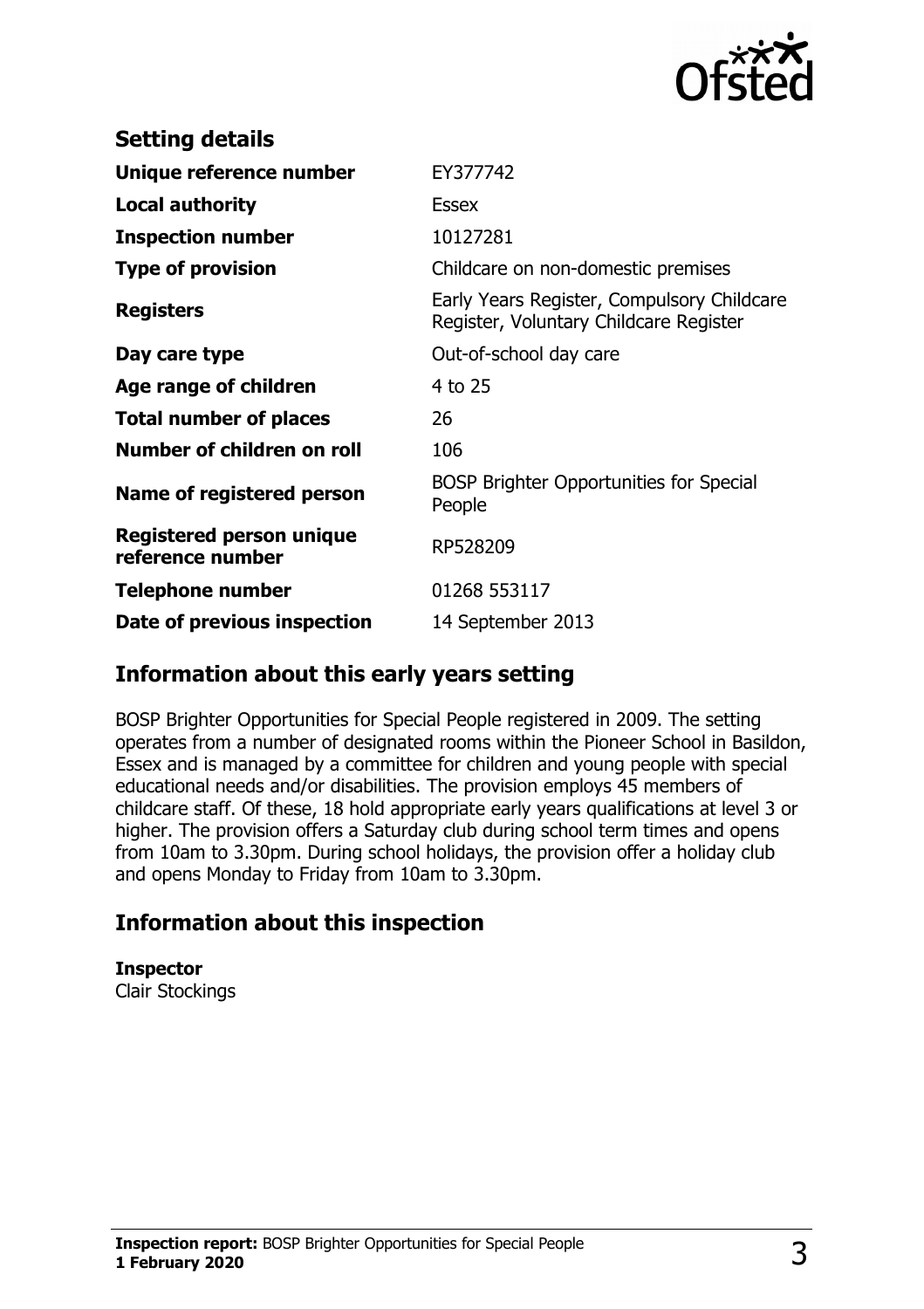

| <b>Setting details</b>                              |                                                                                      |
|-----------------------------------------------------|--------------------------------------------------------------------------------------|
| Unique reference number                             | EY377742                                                                             |
| <b>Local authority</b>                              | <b>Essex</b>                                                                         |
| <b>Inspection number</b>                            | 10127281                                                                             |
| <b>Type of provision</b>                            | Childcare on non-domestic premises                                                   |
| <b>Registers</b>                                    | Early Years Register, Compulsory Childcare<br>Register, Voluntary Childcare Register |
| Day care type                                       | Out-of-school day care                                                               |
| Age range of children                               | 4 to 25                                                                              |
| <b>Total number of places</b>                       | 26                                                                                   |
| Number of children on roll                          | 106                                                                                  |
| Name of registered person                           | <b>BOSP Brighter Opportunities for Special</b><br>People                             |
| <b>Registered person unique</b><br>reference number | RP528209                                                                             |
| <b>Telephone number</b>                             | 01268 553117                                                                         |
| Date of previous inspection                         | 14 September 2013                                                                    |

## **Information about this early years setting**

BOSP Brighter Opportunities for Special People registered in 2009. The setting operates from a number of designated rooms within the Pioneer School in Basildon, Essex and is managed by a committee for children and young people with special educational needs and/or disabilities. The provision employs 45 members of childcare staff. Of these, 18 hold appropriate early years qualifications at level 3 or higher. The provision offers a Saturday club during school term times and opens from 10am to 3.30pm. During school holidays, the provision offer a holiday club and opens Monday to Friday from 10am to 3.30pm.

## **Information about this inspection**

**Inspector** Clair Stockings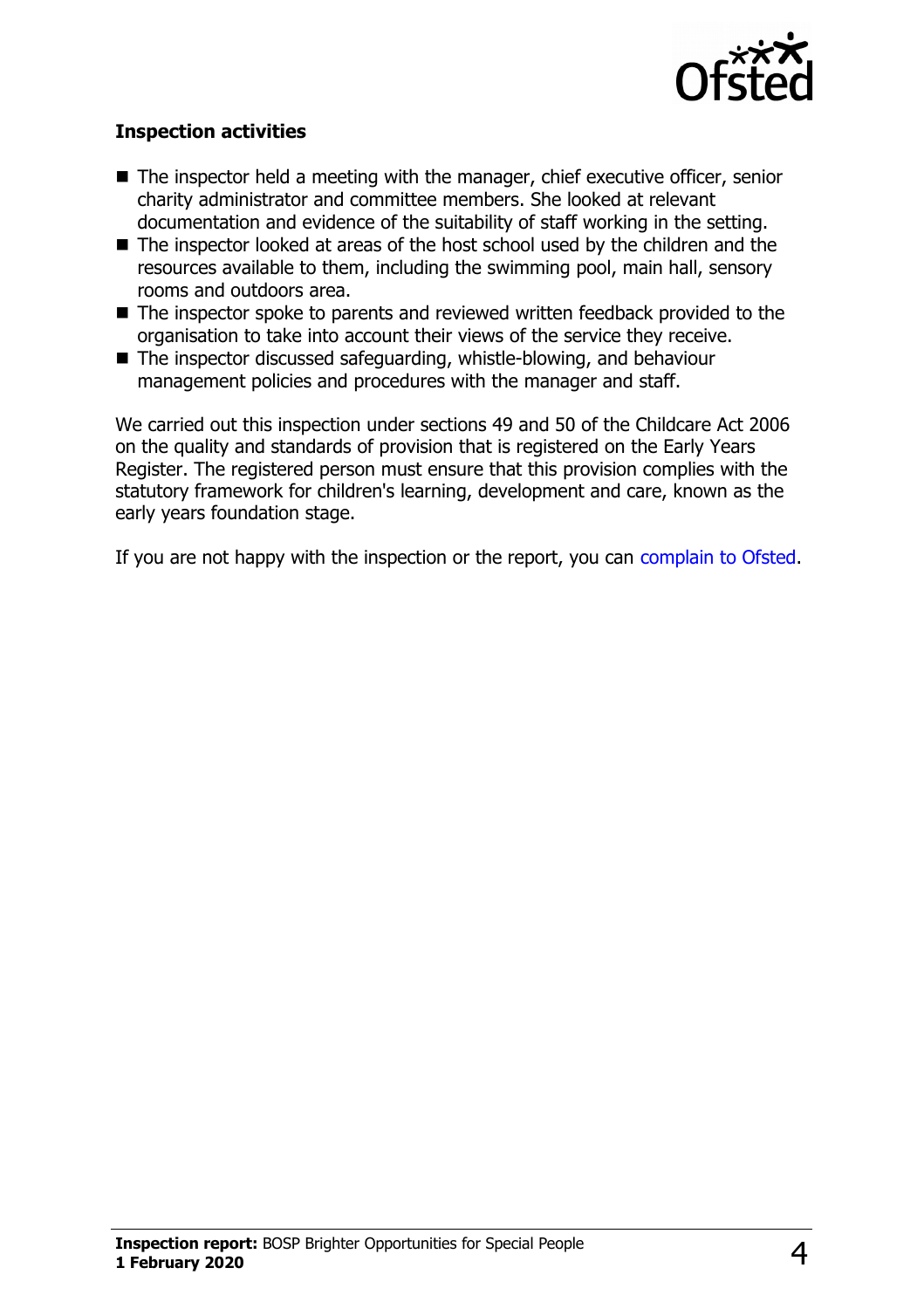

### **Inspection activities**

- $\blacksquare$  The inspector held a meeting with the manager, chief executive officer, senior charity administrator and committee members. She looked at relevant documentation and evidence of the suitability of staff working in the setting.
- $\blacksquare$  The inspector looked at areas of the host school used by the children and the resources available to them, including the swimming pool, main hall, sensory rooms and outdoors area.
- $\blacksquare$  The inspector spoke to parents and reviewed written feedback provided to the organisation to take into account their views of the service they receive.
- $\blacksquare$  The inspector discussed safeguarding, whistle-blowing, and behaviour management policies and procedures with the manager and staff.

We carried out this inspection under sections 49 and 50 of the Childcare Act 2006 on the quality and standards of provision that is registered on the Early Years Register. The registered person must ensure that this provision complies with the statutory framework for children's learning, development and care, known as the early years foundation stage.

If you are not happy with the inspection or the report, you can [complain to Ofsted.](http://www.gov.uk/complain-ofsted-report)